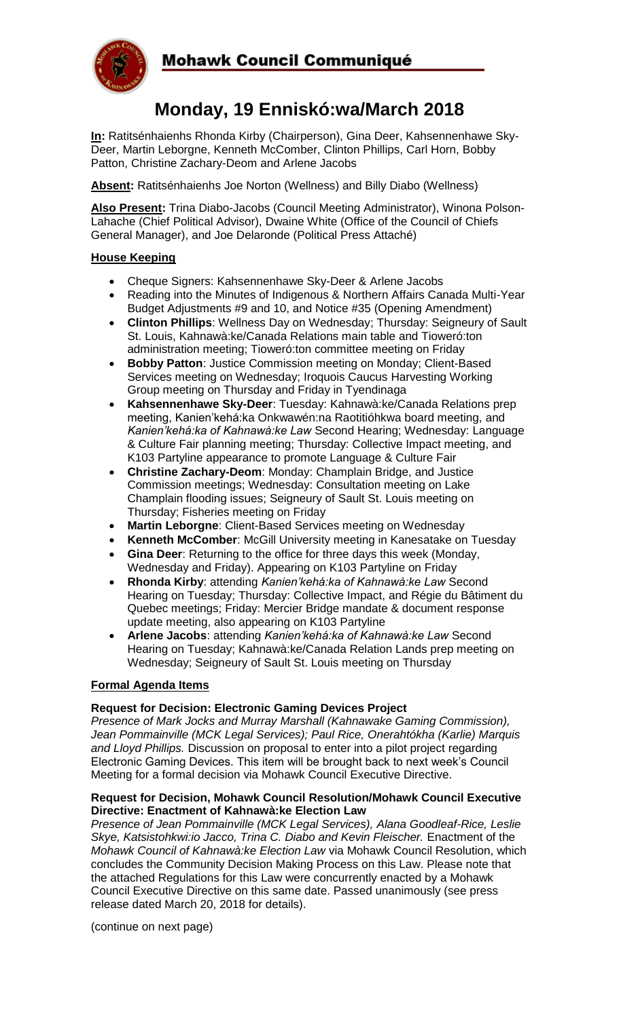

# **Monday, 19 Enniskó:wa/March 2018**

**In:** Ratitsénhaienhs Rhonda Kirby (Chairperson), Gina Deer, Kahsennenhawe Sky-Deer, Martin Leborgne, Kenneth McComber, Clinton Phillips, Carl Horn, Bobby Patton, Christine Zachary-Deom and Arlene Jacobs

**Absent:** Ratitsénhaienhs Joe Norton (Wellness) and Billy Diabo (Wellness)

**Also Present:** Trina Diabo-Jacobs (Council Meeting Administrator), Winona Polson-Lahache (Chief Political Advisor), Dwaine White (Office of the Council of Chiefs General Manager), and Joe Delaronde (Political Press Attaché)

# **House Keeping**

- Cheque Signers: Kahsennenhawe Sky-Deer & Arlene Jacobs
- Reading into the Minutes of Indigenous & Northern Affairs Canada Multi-Year Budget Adjustments #9 and 10, and Notice #35 (Opening Amendment)
- **Clinton Phillips**: Wellness Day on Wednesday; Thursday: Seigneury of Sault St. Louis, Kahnawà:ke/Canada Relations main table and Tioweró:ton administration meeting; Tioweró:ton committee meeting on Friday
- **Bobby Patton**: Justice Commission meeting on Monday; Client-Based Services meeting on Wednesday; Iroquois Caucus Harvesting Working Group meeting on Thursday and Friday in Tyendinaga
- **Kahsennenhawe Sky-Deer**: Tuesday: Kahnawà:ke/Canada Relations prep meeting, Kanien'kehá:ka Onkwawén:na Raotitióhkwa board meeting, and *Kanien'kehá:ka of Kahnawà:ke Law* Second Hearing; Wednesday: Language & Culture Fair planning meeting; Thursday: Collective Impact meeting, and K103 Partyline appearance to promote Language & Culture Fair
- **Christine Zachary-Deom**: Monday: Champlain Bridge, and Justice Commission meetings; Wednesday: Consultation meeting on Lake Champlain flooding issues; Seigneury of Sault St. Louis meeting on Thursday; Fisheries meeting on Friday
- **Martin Leborgne**: Client-Based Services meeting on Wednesday
- **Kenneth McComber**: McGill University meeting in Kanesatake on Tuesday
- **Gina Deer**: Returning to the office for three days this week (Monday, Wednesday and Friday). Appearing on K103 Partyline on Friday
- **Rhonda Kirby**: attending *Kanien'kehá:ka of Kahnawà:ke Law* Second Hearing on Tuesday; Thursday: Collective Impact, and Régie du Bâtiment du Quebec meetings; Friday: Mercier Bridge mandate & document response update meeting, also appearing on K103 Partyline
- **Arlene Jacobs**: attending *Kanien'kehá:ka of Kahnawà:ke Law* Second Hearing on Tuesday; Kahnawà:ke/Canada Relation Lands prep meeting on Wednesday; Seigneury of Sault St. Louis meeting on Thursday

# **Formal Agenda Items**

#### **Request for Decision: Electronic Gaming Devices Project**

*Presence of Mark Jocks and Murray Marshall (Kahnawake Gaming Commission), Jean Pommainville (MCK Legal Services); Paul Rice, Onerahtókha (Karlie) Marquis and Lloyd Phillips.* Discussion on proposal to enter into a pilot project regarding Electronic Gaming Devices. This item will be brought back to next week's Council Meeting for a formal decision via Mohawk Council Executive Directive.

#### **Request for Decision, Mohawk Council Resolution/Mohawk Council Executive Directive: Enactment of Kahnawà:ke Election Law**

*Presence of Jean Pommainville (MCK Legal Services), Alana Goodleaf-Rice, Leslie*  Skye, Katsistohkwi:io Jacco, Trina C. Diabo and Kevin Fleischer. Enactment of the *Mohawk Council of Kahnawà:ke Election Law* via Mohawk Council Resolution, which concludes the Community Decision Making Process on this Law. Please note that the attached Regulations for this Law were concurrently enacted by a Mohawk Council Executive Directive on this same date. Passed unanimously (see press release dated March 20, 2018 for details).

(continue on next page)